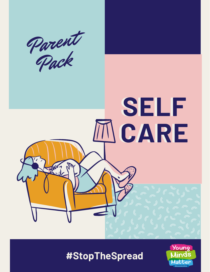

# **SELF SELF CARE CARE**  $\sqrt{M^{2}-1}$

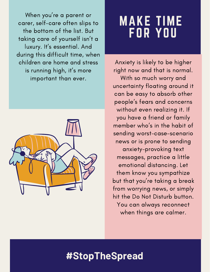When you ' re a parent or carer, self-care often slips to the bottom of the list. But taking care of yourself isn 't a luxury. It' s essential. And during this difficult time, when children are home and stress is running high, it' s more important than ever.



## MAKE TIME FOR YOU

Anxiety is likely to be higher right now and that is normal. With so much worry and uncertainty floating around it can be easy to absorb other people ' s fears and concerns without even realizing it. If you have a friend or family member who ' s in the habit of sending worst-case-scenario news or is prone to sending anxiety-provoking text messages, practice a little emotional distancing. Let them know you sympathize but that you're taking a break from worrying news, or simply hit the Do Not Disturb button. You can always reconnect when things are calmer.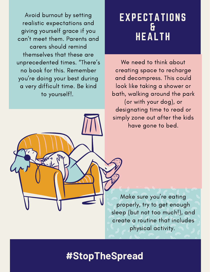Avoid burnout by setting realistic expectations and giving yourself grace if you can 't meet them. Parents and carers should remind themselves that these are unprecedented times. "There ' s no book for this. Remember you ' re doing your best during a very difficult time. Be kind to yourself!.

### EXPECTATIONS & HEALTH

We need to think about creating space to recharge and decompress. This could look like taking a shower or bath, walking around the park (or with your dog), or designating time to read or simply zone out after the kids have gone to bed.

Make sure you ' re eating properly, try to get enough sleep (but not too much!), and create a routine that includes physical activity.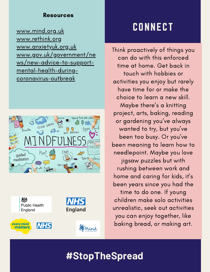#### Resources

[www.mind.org.uk](http://www.mind.org.uk/) [www.rethink.org](http://www.rethink.org/) [www.anxietyuk.org.uk](http://www.anxietyuk.org.uk/) [www.gov.uk/government/ne](http://www.gov.uk/government/news/new-advice-to-support-mental-health-during-coronavirus-outbreak) ws/new-advice-to-supportmental-health-duringcoronavirus-outbreak





## **CONNECT**

Think proactively of things you can do with this enforced time at home. Get back in touch with hobbies or activities you enjoy but rarely have time for or make the choice to learn a new skill. Maybe there ' s a knitting project, arts, baking, reading or gardening you've always wanted to try, but you ' ve been too busy. Or you ' ve been meaning to learn how to needlepoint. Maybe you love jigsaw puzzles but with rushing between work and home and caring for kids, it' s been years since you had the time to do one. If young children make solo activities unrealistic, seek out activities you can enjoy together, like baking bread, or making art.